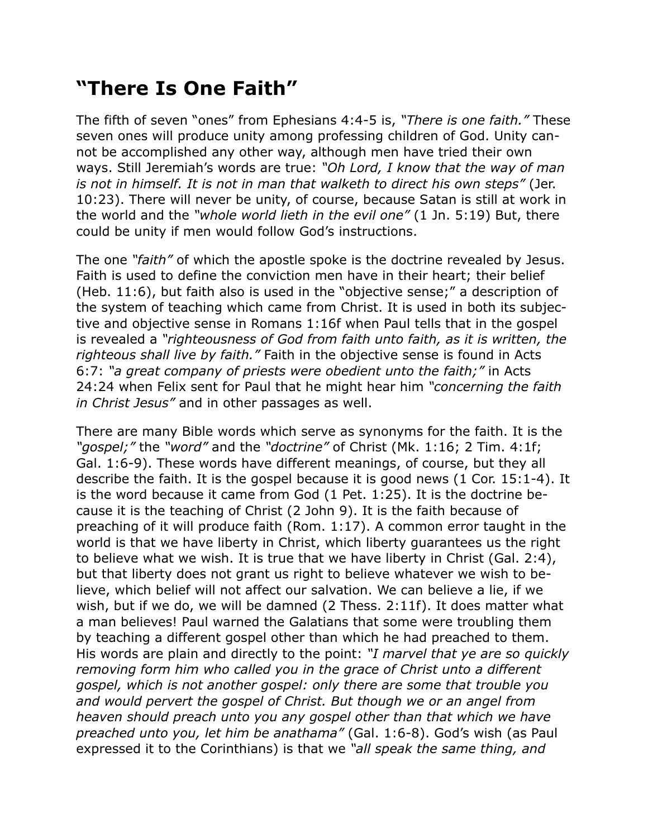## **"There Is One Faith"**

The fifth of seven "ones" from Ephesians 4:4-5 is, *"There is one faith."* These seven ones will produce unity among professing children of God. Unity cannot be accomplished any other way, although men have tried their own ways. Still Jeremiah's words are true: *"Oh Lord, I know that the way of man is not in himself. It is not in man that walketh to direct his own steps"* (Jer. 10:23). There will never be unity, of course, because Satan is still at work in the world and the *"whole world lieth in the evil one"* (1 Jn. 5:19) But, there could be unity if men would follow God's instructions.

The one *"faith"* of which the apostle spoke is the doctrine revealed by Jesus. Faith is used to define the conviction men have in their heart; their belief (Heb. 11:6), but faith also is used in the "objective sense;" a description of the system of teaching which came from Christ. It is used in both its subjective and objective sense in Romans 1:16f when Paul tells that in the gospel is revealed a *"righteousness of God from faith unto faith, as it is written, the righteous shall live by faith."* Faith in the objective sense is found in Acts 6:7: *"a great company of priests were obedient unto the faith;"* in Acts 24:24 when Felix sent for Paul that he might hear him *"concerning the faith in Christ Jesus"* and in other passages as well.

There are many Bible words which serve as synonyms for the faith. It is the *"gospel;"* the *"word"* and the *"doctrine"* of Christ (Mk. 1:16; 2 Tim. 4:1f; Gal. 1:6-9). These words have different meanings, of course, but they all describe the faith. It is the gospel because it is good news (1 Cor. 15:1-4). It is the word because it came from God (1 Pet. 1:25). It is the doctrine because it is the teaching of Christ (2 John 9). It is the faith because of preaching of it will produce faith (Rom. 1:17). A common error taught in the world is that we have liberty in Christ, which liberty guarantees us the right to believe what we wish. It is true that we have liberty in Christ (Gal. 2:4), but that liberty does not grant us right to believe whatever we wish to believe, which belief will not affect our salvation. We can believe a lie, if we wish, but if we do, we will be damned (2 Thess. 2:11f). It does matter what a man believes! Paul warned the Galatians that some were troubling them by teaching a different gospel other than which he had preached to them. His words are plain and directly to the point: *"I marvel that ye are so quickly removing form him who called you in the grace of Christ unto a different gospel, which is not another gospel: only there are some that trouble you and would pervert the gospel of Christ. But though we or an angel from heaven should preach unto you any gospel other than that which we have preached unto you, let him be anathama"* (Gal. 1:6-8). God's wish (as Paul expressed it to the Corinthians) is that we *"all speak the same thing, and*